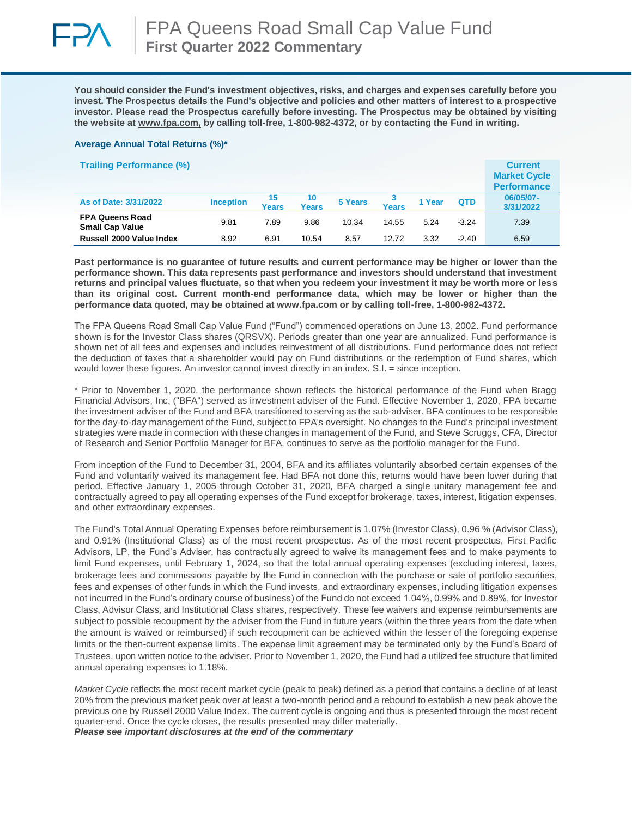

**You should consider the Fund's investment objectives, risks, and charges and expenses carefully before you invest. The Prospectus details the Fund's objective and policies and other matters of interest to a prospective investor. Please read the Prospectus carefully before investing. The Prospectus may be obtained by visiting the website at [www.fpa.com,](http://www.fpa.com/) by calling toll-free, 1-800-982-4372, or by contacting the Fund in writing.**

### **Average Annual Total Returns (%)\***

| <b>Trailing Performance (%)</b>                  |                  |             |             |         |       |        |            | <b>Current</b><br><b>Market Cycle</b><br><b>Performance</b> |
|--------------------------------------------------|------------------|-------------|-------------|---------|-------|--------|------------|-------------------------------------------------------------|
| As of Date: 3/31/2022                            | <b>Inception</b> | 15<br>Years | 10<br>Years | 5 Years | Years | 1 Year | <b>QTD</b> | 06/05/07-<br>3/31/2022                                      |
| <b>FPA Queens Road</b><br><b>Small Cap Value</b> | 9.81             | 7.89        | 9.86        | 10.34   | 14.55 | 5.24   | $-3.24$    | 7.39                                                        |
| Russell 2000 Value Index                         | 8.92             | 6.91        | 10.54       | 8.57    | 12.72 | 3.32   | $-2.40$    | 6.59                                                        |

**Past performance is no guarantee of future results and current performance may be higher or lower than the performance shown. This data represents past performance and investors should understand that investment returns and principal values fluctuate, so that when you redeem your investment it may be worth more or less than its original cost. Current month-end performance data, which may be lower or higher than the performance data quoted, may be obtained at www.fpa.com or by calling toll-free, 1-800-982-4372.**

The FPA Queens Road Small Cap Value Fund ("Fund") commenced operations on June 13, 2002. Fund performance shown is for the Investor Class shares (QRSVX). Periods greater than one year are annualized. Fund performance is shown net of all fees and expenses and includes reinvestment of all distributions. Fund performance does not reflect the deduction of taxes that a shareholder would pay on Fund distributions or the redemption of Fund shares, which would lower these figures. An investor cannot invest directly in an index. S.I. = since inception.

\* Prior to November 1, 2020, the performance shown reflects the historical performance of the Fund when Bragg Financial Advisors, Inc. ("BFA") served as investment adviser of the Fund. Effective November 1, 2020, FPA became the investment adviser of the Fund and BFA transitioned to serving as the sub-adviser. BFA continues to be responsible for the day-to-day management of the Fund, subject to FPA's oversight. No changes to the Fund's principal investment strategies were made in connection with these changes in management of the Fund, and Steve Scruggs, CFA, Director of Research and Senior Portfolio Manager for BFA, continues to serve as the portfolio manager for the Fund.

From inception of the Fund to December 31, 2004, BFA and its affiliates voluntarily absorbed certain expenses of the Fund and voluntarily waived its management fee. Had BFA not done this, returns would have been lower during that period. Effective January 1, 2005 through October 31, 2020, BFA charged a single unitary management fee and contractually agreed to pay all operating expenses of the Fund except for brokerage, taxes, interest, litigation expenses, and other extraordinary expenses.

The Fund's Total Annual Operating Expenses before reimbursement is 1.07% (Investor Class), 0.96 % (Advisor Class), and 0.91% (Institutional Class) as of the most recent prospectus. As of the most recent prospectus, First Pacific Advisors, LP, the Fund's Adviser, has contractually agreed to waive its management fees and to make payments to limit Fund expenses, until February 1, 2024, so that the total annual operating expenses (excluding interest, taxes, brokerage fees and commissions payable by the Fund in connection with the purchase or sale of portfolio securities, fees and expenses of other funds in which the Fund invests, and extraordinary expenses, including litigation expenses not incurred in the Fund's ordinary course of business) of the Fund do not exceed 1.04%, 0.99% and 0.89%, for Investor Class, Advisor Class, and Institutional Class shares, respectively. These fee waivers and expense reimbursements are subject to possible recoupment by the adviser from the Fund in future years (within the three years from the date when the amount is waived or reimbursed) if such recoupment can be achieved within the lesser of the foregoing expense limits or the then-current expense limits. The expense limit agreement may be terminated only by the Fund's Board of Trustees, upon written notice to the adviser. Prior to November 1, 2020, the Fund had a utilized fee structure that limited annual operating expenses to 1.18%.

*Market Cycle* reflects the most recent market cycle (peak to peak) defined as a period that contains a decline of at least 20% from the previous market peak over at least a two-month period and a rebound to establish a new peak above the previous one by Russell 2000 Value Index. The current cycle is ongoing and thus is presented through the most recent quarter-end. Once the cycle closes, the results presented may differ materially. *Please see important disclosures at the end of the commentary*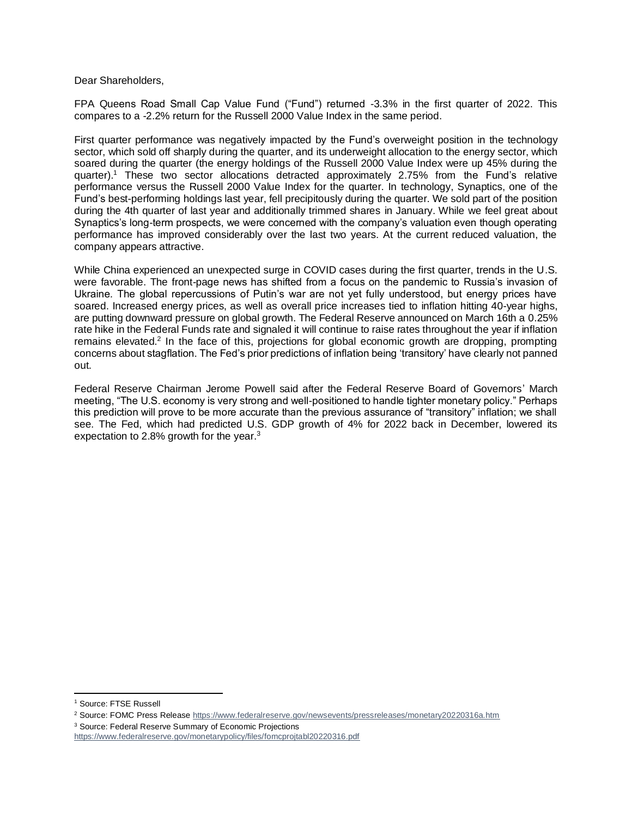Dear Shareholders,

FPA Queens Road Small Cap Value Fund ("Fund") returned -3.3% in the first quarter of 2022. This compares to a -2.2% return for the Russell 2000 Value Index in the same period.

First quarter performance was negatively impacted by the Fund's overweight position in the technology sector, which sold off sharply during the quarter, and its underweight allocation to the energy sector, which soared during the quarter (the energy holdings of the Russell 2000 Value Index were up 45% during the quarter).<sup>1</sup> These two sector allocations detracted approximately 2.75% from the Fund's relative performance versus the Russell 2000 Value Index for the quarter. In technology, Synaptics, one of the Fund's best-performing holdings last year, fell precipitously during the quarter. We sold part of the position during the 4th quarter of last year and additionally trimmed shares in January. While we feel great about Synaptics's long-term prospects, we were concerned with the company's valuation even though operating performance has improved considerably over the last two years. At the current reduced valuation, the company appears attractive.

While China experienced an unexpected surge in COVID cases during the first quarter, trends in the U.S. were favorable. The front-page news has shifted from a focus on the pandemic to Russia's invasion of Ukraine. The global repercussions of Putin's war are not yet fully understood, but energy prices have soared. Increased energy prices, as well as overall price increases tied to inflation hitting 40-year highs, are putting downward pressure on global growth. The Federal Reserve announced on March 16th a 0.25% rate hike in the Federal Funds rate and signaled it will continue to raise rates throughout the year if inflation remains elevated.<sup>2</sup> In the face of this, projections for global economic growth are dropping, prompting concerns about stagflation. The Fed's prior predictions of inflation being 'transitory' have clearly not panned out.

Federal Reserve Chairman Jerome Powell said after the Federal Reserve Board of Governors' March meeting, "The U.S. economy is very strong and well-positioned to handle tighter monetary policy." Perhaps this prediction will prove to be more accurate than the previous assurance of "transitory" inflation; we shall see. The Fed, which had predicted U.S. GDP growth of 4% for 2022 back in December, lowered its expectation to 2.8% growth for the year. $3$ 

<sup>1</sup> Source: FTSE Russell

<sup>&</sup>lt;sup>2</sup> Source: FOMC Press Release<https://www.federalreserve.gov/newsevents/pressreleases/monetary20220316a.htm>

<sup>3</sup> Source: Federal Reserve Summary of Economic Projections

<https://www.federalreserve.gov/monetarypolicy/files/fomcprojtabl20220316.pdf>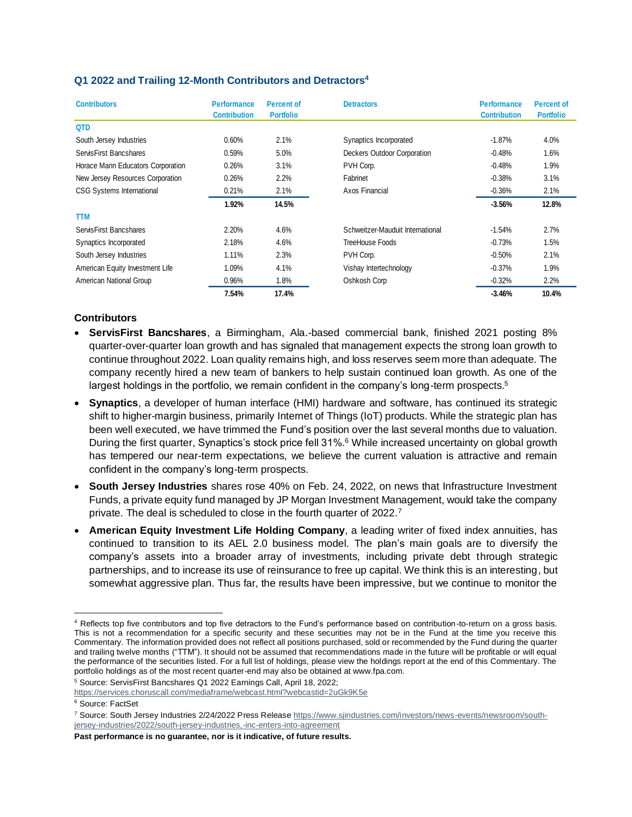# **Q1 2022 and Trailing 12-Month Contributors and Detractors<sup>4</sup>**

| <b>Contributors</b>               | <b>Performance</b><br><b>Contribution</b> | <b>Percent of</b><br><b>Portfolio</b> | <b>Detractors</b>                | <b>Performance</b><br><b>Contribution</b> | <b>Percent of</b><br><b>Portfolio</b> |
|-----------------------------------|-------------------------------------------|---------------------------------------|----------------------------------|-------------------------------------------|---------------------------------------|
| <b>QTD</b>                        |                                           |                                       |                                  |                                           |                                       |
| South Jersey Industries           | 0.60%                                     | 2.1%                                  | Synaptics Incorporated           | $-1.87\%$                                 | 4.0%                                  |
| ServisFirst Bancshares            | 0.59%                                     | 5.0%                                  | Deckers Outdoor Corporation      | $-0.48%$                                  | 1.6%                                  |
| Horace Mann Educators Corporation | 0.26%                                     | 3.1%                                  | PVH Corp.                        | $-0.48%$                                  | 1.9%                                  |
| New Jersey Resources Corporation  | 0.26%                                     | 2.2%                                  | Fabrinet                         | $-0.38%$                                  | 3.1%                                  |
| <b>CSG Systems International</b>  | 0.21%                                     | 2.1%                                  | Axos Financial                   | $-0.36%$                                  | 2.1%                                  |
|                                   | 1.92%                                     | 14.5%                                 |                                  | $-3.56%$                                  | 12.8%                                 |
| <b>TTM</b>                        |                                           |                                       |                                  |                                           |                                       |
| ServisFirst Bancshares            | 2.20%                                     | 4.6%                                  | Schweitzer-Mauduit International | $-1.54%$                                  | 2.7%                                  |
| Synaptics Incorporated            | 2.18%                                     | 4.6%                                  | TreeHouse Foods                  | $-0.73%$                                  | 1.5%                                  |
| South Jersey Industries           | 1.11%                                     | 2.3%                                  | PVH Corp.                        | $-0.50%$                                  | 2.1%                                  |
| American Equity Investment Life   | 1.09%                                     | 4.1%                                  | Vishay Intertechnology           | $-0.37\%$                                 | 1.9%                                  |
| American National Group           | 0.96%                                     | 1.8%                                  | Oshkosh Corp                     | $-0.32%$                                  | 2.2%                                  |
|                                   | 7.54%                                     | 17.4%                                 |                                  | $-3.46%$                                  | 10.4%                                 |

# **Contributors**

- **ServisFirst Bancshares**, a Birmingham, Ala.-based commercial bank, finished 2021 posting 8% quarter-over-quarter loan growth and has signaled that management expects the strong loan growth to continue throughout 2022. Loan quality remains high, and loss reserves seem more than adequate. The company recently hired a new team of bankers to help sustain continued loan growth. As one of the largest holdings in the portfolio, we remain confident in the company's long-term prospects. $5$
- **Synaptics**, a developer of human interface (HMI) hardware and software, has continued its strategic shift to higher-margin business, primarily Internet of Things (IoT) products. While the strategic plan has been well executed, we have trimmed the Fund's position over the last several months due to valuation. During the first quarter, Synaptics's stock price fell 31%.<sup>6</sup> While increased uncertainty on global growth has tempered our near-term expectations, we believe the current valuation is attractive and remain confident in the company's long-term prospects.
- **South Jersey Industries** shares rose 40% on Feb. 24, 2022, on news that Infrastructure Investment Funds, a private equity fund managed by JP Morgan Investment Management, would take the company private. The deal is scheduled to close in the fourth quarter of 2022.<sup>7</sup>
- **American Equity Investment Life Holding Company**, a leading writer of fixed index annuities, has continued to transition to its AEL 2.0 business model. The plan's main goals are to diversify the company's assets into a broader array of investments, including private debt through strategic partnerships, and to increase its use of reinsurance to free up capital. We think this is an interesting, but somewhat aggressive plan. Thus far, the results have been impressive, but we continue to monitor the

<sup>5</sup> Source: ServisFirst Bancshares Q1 2022 Earnings Call, April 18, 2022;

**Past performance is no guarantee, nor is it indicative, of future results.**

<sup>4</sup> Reflects top five contributors and top five detractors to the Fund's performance based on contribution-to-return on a gross basis. This is not a recommendation for a specific security and these securities may not be in the Fund at the time you receive this Commentary. The information provided does not reflect all positions purchased, sold or recommended by the Fund during the quarter and trailing twelve months ("TTM"). It should not be assumed that recommendations made in the future will be profitable or will equal the performance of the securities listed. For a full list of holdings, please view the holdings report at the end of this Commentary. The portfolio holdings as of the most recent quarter-end may also be obtained at www.fpa.com.

<https://services.choruscall.com/mediaframe/webcast.html?webcastid=2uGk9K5e>

<sup>6</sup> Source: FactSet

<sup>7</sup> Source: South Jersey Industries 2/24/2022 Press Releas[e https://www.sjindustries.com/investors/news-events/newsroom/south](https://www.sjindustries.com/investors/news-events/newsroom/south-jersey-industries/2022/south-jersey-industries,-inc-enters-into-agreement)[jersey-industries/2022/south-jersey-industries,-inc-enters-into-agreement](https://www.sjindustries.com/investors/news-events/newsroom/south-jersey-industries/2022/south-jersey-industries,-inc-enters-into-agreement)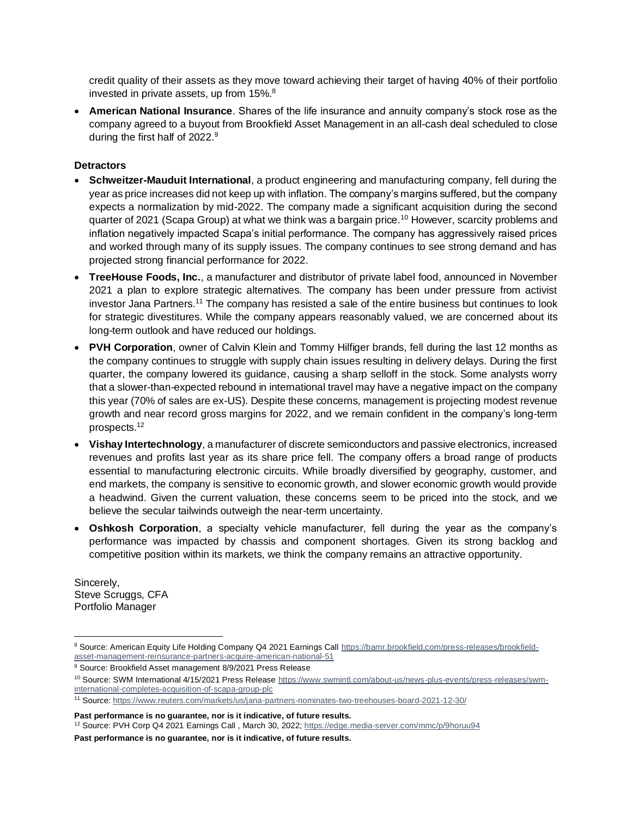credit quality of their assets as they move toward achieving their target of having 40% of their portfolio invested in private assets, up from 15%.<sup>8</sup>

• **American National Insurance**. Shares of the life insurance and annuity company's stock rose as the company agreed to a buyout from Brookfield Asset Management in an all-cash deal scheduled to close during the first half of 2022.<sup>9</sup>

## **Detractors**

- **Schweitzer-Mauduit International**, a product engineering and manufacturing company, fell during the year as price increases did not keep up with inflation. The company's margins suffered, but the company expects a normalization by mid-2022. The company made a significant acquisition during the second quarter of 2021 (Scapa Group) at what we think was a bargain price.<sup>10</sup> However, scarcity problems and inflation negatively impacted Scapa's initial performance. The company has aggressively raised prices and worked through many of its supply issues. The company continues to see strong demand and has projected strong financial performance for 2022.
- **TreeHouse Foods, Inc.**, a manufacturer and distributor of private label food, announced in November 2021 a plan to explore strategic alternatives. The company has been under pressure from activist investor Jana Partners.<sup>11</sup> The company has resisted a sale of the entire business but continues to look for strategic divestitures. While the company appears reasonably valued, we are concerned about its long-term outlook and have reduced our holdings.
- **PVH Corporation**, owner of Calvin Klein and Tommy Hilfiger brands, fell during the last 12 months as the company continues to struggle with supply chain issues resulting in delivery delays. During the first quarter, the company lowered its guidance, causing a sharp selloff in the stock. Some analysts worry that a slower-than-expected rebound in international travel may have a negative impact on the company this year (70% of sales are ex-US). Despite these concerns, management is projecting modest revenue growth and near record gross margins for 2022, and we remain confident in the company's long-term prospects.<sup>12</sup>
- **Vishay Intertechnology**, a manufacturer of discrete semiconductors and passive electronics, increased revenues and profits last year as its share price fell. The company offers a broad range of products essential to manufacturing electronic circuits. While broadly diversified by geography, customer, and end markets, the company is sensitive to economic growth, and slower economic growth would provide a headwind. Given the current valuation, these concerns seem to be priced into the stock, and we believe the secular tailwinds outweigh the near-term uncertainty.
- **Oshkosh Corporation**, a specialty vehicle manufacturer, fell during the year as the company's performance was impacted by chassis and component shortages. Given its strong backlog and competitive position within its markets, we think the company remains an attractive opportunity.

Sincerely, Steve Scruggs, CFA Portfolio Manager

**Past performance is no guarantee, nor is it indicative, of future results.**

**Past performance is no guarantee, nor is it indicative, of future results.**

<sup>8</sup> Source: American Equity Life Holding Company Q4 2021 Earnings Call [https://bamr.brookfield.com/press-releases/brookfield](https://bamr.brookfield.com/press-releases/brookfield-asset-management-reinsurance-partners-acquire-american-national-51)[asset-management-reinsurance-partners-acquire-american-national-51](https://bamr.brookfield.com/press-releases/brookfield-asset-management-reinsurance-partners-acquire-american-national-51)

<sup>9</sup> Source: Brookfield Asset management 8/9/2021 Press Release

<sup>10</sup> Source: SWM International 4/15/2021 Press Releas[e https://www.swmintl.com/about-us/news-plus-events/press-releases/swm](https://www.swmintl.com/about-us/news-plus-events/press-releases/swm-international-completes-acquisition-of-scapa-group-plc)[international-completes-acquisition-of-scapa-group-plc](https://www.swmintl.com/about-us/news-plus-events/press-releases/swm-international-completes-acquisition-of-scapa-group-plc)

<sup>11</sup> Source[: https://www.reuters.com/markets/us/jana-partners-nominates-two-treehouses-board-2021-12-30/](https://www.reuters.com/markets/us/jana-partners-nominates-two-treehouses-board-2021-12-30/)

<sup>12</sup> Source: PVH Corp Q4 2021 Earnings Call , March 30, 2022;<https://edge.media-server.com/mmc/p/9horuu94>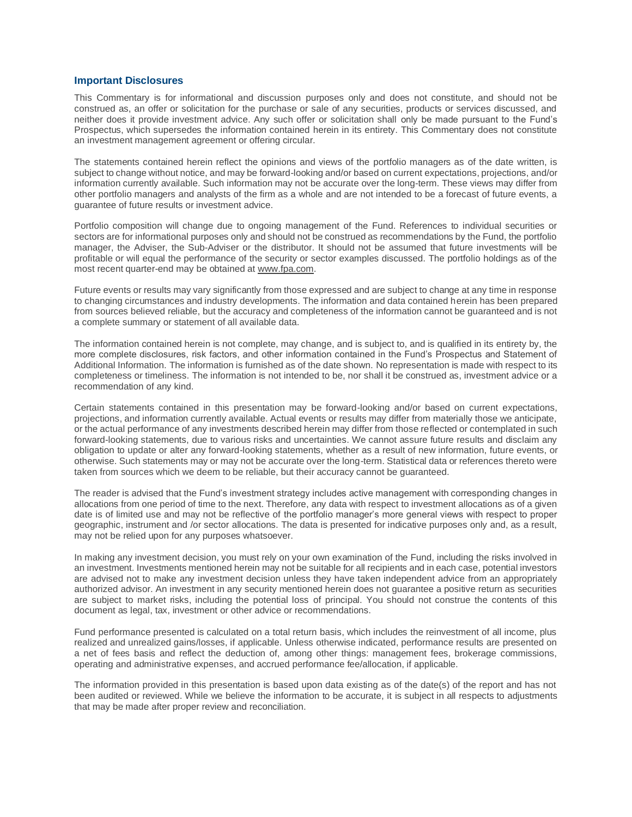### **Important Disclosures**

This Commentary is for informational and discussion purposes only and does not constitute, and should not be construed as, an offer or solicitation for the purchase or sale of any securities, products or services discussed, and neither does it provide investment advice. Any such offer or solicitation shall only be made pursuant to the Fund's Prospectus, which supersedes the information contained herein in its entirety. This Commentary does not constitute an investment management agreement or offering circular.

The statements contained herein reflect the opinions and views of the portfolio managers as of the date written, is subject to change without notice, and may be forward-looking and/or based on current expectations, projections, and/or information currently available. Such information may not be accurate over the long-term. These views may differ from other portfolio managers and analysts of the firm as a whole and are not intended to be a forecast of future events, a guarantee of future results or investment advice.

Portfolio composition will change due to ongoing management of the Fund. References to individual securities or sectors are for informational purposes only and should not be construed as recommendations by the Fund, the portfolio manager, the Adviser, the Sub-Adviser or the distributor. It should not be assumed that future investments will be profitable or will equal the performance of the security or sector examples discussed. The portfolio holdings as of the most recent quarter-end may be obtained a[t www.fpa.com.](http://www.fpa.com/)

Future events or results may vary significantly from those expressed and are subject to change at any time in response to changing circumstances and industry developments. The information and data contained herein has been prepared from sources believed reliable, but the accuracy and completeness of the information cannot be guaranteed and is not a complete summary or statement of all available data.

The information contained herein is not complete, may change, and is subject to, and is qualified in its entirety by, the more complete disclosures, risk factors, and other information contained in the Fund's Prospectus and Statement of Additional Information. The information is furnished as of the date shown. No representation is made with respect to its completeness or timeliness. The information is not intended to be, nor shall it be construed as, investment advice or a recommendation of any kind.

Certain statements contained in this presentation may be forward-looking and/or based on current expectations, projections, and information currently available. Actual events or results may differ from materially those we anticipate, or the actual performance of any investments described herein may differ from those reflected or contemplated in such forward-looking statements, due to various risks and uncertainties. We cannot assure future results and disclaim any obligation to update or alter any forward-looking statements, whether as a result of new information, future events, or otherwise. Such statements may or may not be accurate over the long-term. Statistical data or references thereto were taken from sources which we deem to be reliable, but their accuracy cannot be guaranteed.

The reader is advised that the Fund's investment strategy includes active management with corresponding changes in allocations from one period of time to the next. Therefore, any data with respect to investment allocations as of a given date is of limited use and may not be reflective of the portfolio manager's more general views with respect to proper geographic, instrument and /or sector allocations. The data is presented for indicative purposes only and, as a result, may not be relied upon for any purposes whatsoever.

In making any investment decision, you must rely on your own examination of the Fund, including the risks involved in an investment. Investments mentioned herein may not be suitable for all recipients and in each case, potential investors are advised not to make any investment decision unless they have taken independent advice from an appropriately authorized advisor. An investment in any security mentioned herein does not guarantee a positive return as securities are subject to market risks, including the potential loss of principal. You should not construe the contents of this document as legal, tax, investment or other advice or recommendations.

Fund performance presented is calculated on a total return basis, which includes the reinvestment of all income, plus realized and unrealized gains/losses, if applicable. Unless otherwise indicated, performance results are presented on a net of fees basis and reflect the deduction of, among other things: management fees, brokerage commissions, operating and administrative expenses, and accrued performance fee/allocation, if applicable.

The information provided in this presentation is based upon data existing as of the date(s) of the report and has not been audited or reviewed. While we believe the information to be accurate, it is subject in all respects to adjustments that may be made after proper review and reconciliation.